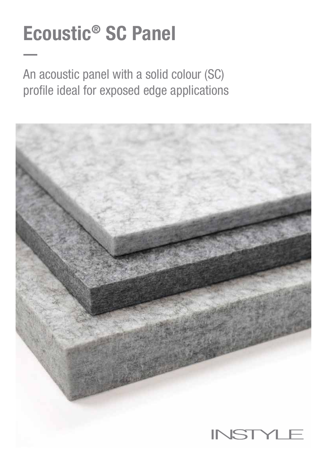# Ecoustic® SC Panel

An acoustic panel with a solid colour (SC) profile ideal for exposed edge applications

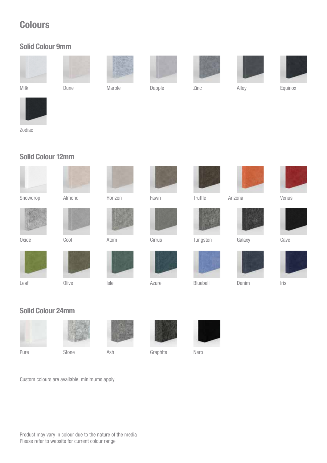# **Colours**

#### Solid Colour 9mm





Milk Dune Marble Dapple Zinc Alloy Equinox









Zodiac

### Solid Colour 12mm



Horizon Fawn





**Truffle** 



















Cirrus



Isle Azure







Solid Colour 24mm



Leaf



Pure Stone Ash



Graphite Nero



Custom colours are available, minimums apply

Olive

Oxide Cool Atom Tungsten Galaxy Cave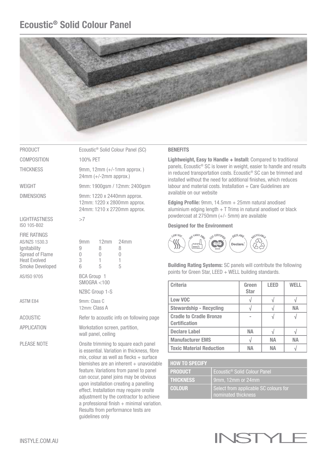## Ecoustic® Solid Colour Panel



| PRODUCT     |
|-------------|
| COMPOSITION |

LIGHTFASTNESS >7 ISO 105-B02

FIRE RATINGS AS/NZS 1530.3 **Ignitability** Spread of Flame Heat Evolved Smoke Developed

Ecoustic<sup>®</sup> Solid Colour Panel (SC) V 100% PET

THICKNESS 9mm, 12mm (+/-1mm approx.) 24mm (+/-2mm approx.)

WEIGHT 9mm: 1900gsm / 12mm: 2400gsm

DIMENSIONS 9mm: 1220 x 2440mm approx. 12mm: 1220 x 2800mm approx. 24mm: 1210 x 2720mm approx.

| AS/NZS 1530.3<br>Ignitability<br>Spread of Flame<br><b>Heat Evolved</b><br>Smoke Developed | 9mm<br>9<br>3<br>6 | 12mm<br>8<br>5                     | 24mm<br>8<br>5 |
|--------------------------------------------------------------------------------------------|--------------------|------------------------------------|----------------|
| AS/ISO 9705                                                                                |                    | <b>BCA Group 1</b><br>SMOGRA < 100 |                |
|                                                                                            |                    | NZBC Group 1-S                     |                |
| ASTM E84                                                                                   | 9mm: Class C       |                                    |                |

12mm: Class A

ACOUSTIC Refer to acoustic info on following page

APPLICATION Workstation screen, partition, wall panel, ceiling

PLEASE NOTE **Onsite trimming to square each panel**  is essential. Variation in thickness, fibre mix, colour as well as flecks + surface blemishes are an inherent  $+$  unavoidable feature. Variations from panel to panel can occur, panel joins may be obvious upon installation creating a panelling effect. Installation may require onsite adjustment by the contractor to achieve a professional finish  $+$  minimal variation. Results from performance tests are guidelines only

#### **BENEFITS**

Lightweight, Easy to Handle + Install: Compared to traditional panels, Ecoustic® SC is lower in weight, easier to handle and results in reduced transportation costs. Ecoustic® SC can be trimmed and installed without the need for additional finishes, which reduces labour and material costs. Installation  $+$  Care Guidelines are available on our website

Edging Profile: 9mm, 14.5mm + 25mm natural anodised aluminium edging length  $+T$  Trims in natural anodised or black powdercoat at 2750mm (+/- 5mm) are available

#### Designed for the Environment



Building Rating Systems: SC panels will contribute the following points for Green Star, LEED  $+$  WELL building standards.

| <b>Criteria</b>                                        | Green<br><b>Star</b> | <b>LEED</b> | WFI I     |
|--------------------------------------------------------|----------------------|-------------|-----------|
| <b>Low VOC</b>                                         |                      |             |           |
| <b>Stewardship - Recycling</b>                         |                      |             | <b>NA</b> |
| <b>Cradle to Cradle Bronze</b><br><b>Certification</b> |                      |             |           |
| <b>Declare Label</b>                                   | NА                   |             |           |
| <b>Manufacturer EMS</b>                                |                      | NА          | NА        |
| <b>Toxic Material Reduction</b>                        | NΔ                   | NΔ          |           |

| <b>HOW TO SPECIFY</b> |                                                              |
|-----------------------|--------------------------------------------------------------|
| <b>PRODUCT</b>        | Ecoustic <sup>®</sup> Solid Colour Panel                     |
| <b>THICKNESS</b>      | 9mm, 12mm or 24mm                                            |
| <b>COLOUR</b>         | Select from applicable SC colours for<br>nominated thickness |